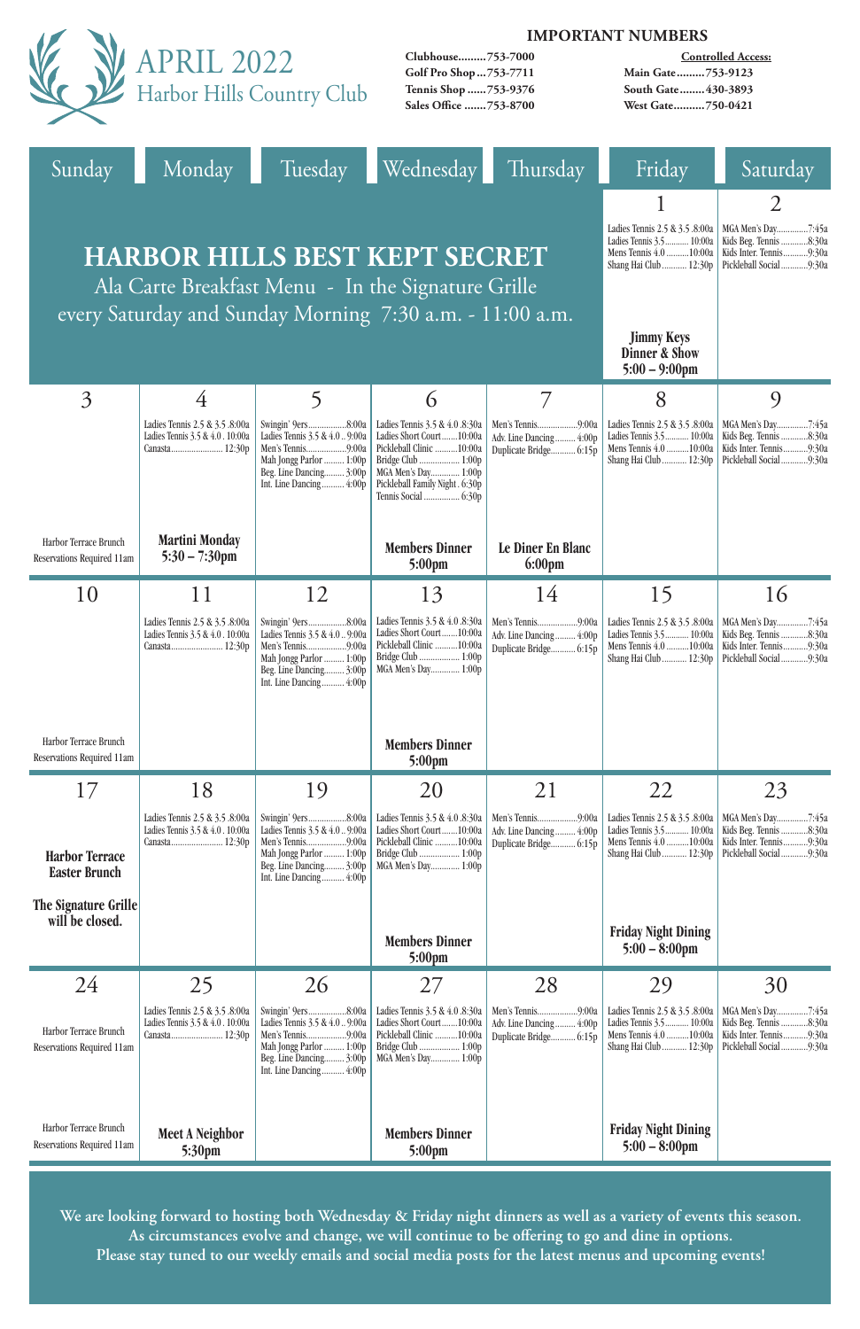|                                                     |                                                                                                                                                        | <b>IMPORTANT NUMBERS</b>                                                                                                                                   |                                                                                                                                                                        |                                                                                            |                                                                                                                |                                                                                                   |  |
|-----------------------------------------------------|--------------------------------------------------------------------------------------------------------------------------------------------------------|------------------------------------------------------------------------------------------------------------------------------------------------------------|------------------------------------------------------------------------------------------------------------------------------------------------------------------------|--------------------------------------------------------------------------------------------|----------------------------------------------------------------------------------------------------------------|---------------------------------------------------------------------------------------------------|--|
|                                                     |                                                                                                                                                        | APRIL 2022<br>Harbor Hills Country Club                                                                                                                    | Clubhouse753-7000<br>Golf Pro Shop  753-7711<br>Tennis Shop 753-9376<br>Sales Office 753-8700                                                                          | <b>Controlled Access:</b><br>Main Gate753-9123<br>South Gate 430-3893<br>West Gate750-0421 |                                                                                                                |                                                                                                   |  |
| Sunday                                              | Monday                                                                                                                                                 |                                                                                                                                                            | Tuesday Wednesday                                                                                                                                                      | Thursday                                                                                   | Friday                                                                                                         | Saturday                                                                                          |  |
|                                                     | <b>HARBOR HILLS BEST KEPT SECRET</b><br>Ala Carte Breakfast Menu - In the Signature Grille<br>every Saturday and Sunday Morning 7:30 a.m. - 11:00 a.m. | Ladies Tennis 2.5 & 3.5 .8:00a<br>Ladies Tennis 3.5 10:00a<br>Mens Tennis 4.0 10:00a<br>Shang Hai Club  12:30p                                             | $\overline{2}$<br>MGA Men's Day7:45a<br>Kids Beg. Tennis 8:30a<br>Kids Inter. Tennis9:30a<br>Pickleball Social 9:30a                                                   |                                                                                            |                                                                                                                |                                                                                                   |  |
|                                                     |                                                                                                                                                        |                                                                                                                                                            |                                                                                                                                                                        |                                                                                            | <b>Jimmy Keys</b><br><b>Dinner &amp; Show</b><br>$5:00 - 9:00$ pm                                              |                                                                                                   |  |
| $\overline{3}$                                      | 4                                                                                                                                                      | 5                                                                                                                                                          | 6                                                                                                                                                                      | $\overline{7}$                                                                             | 8                                                                                                              | $\overline{Q}$                                                                                    |  |
|                                                     | Ladies Tennis 2.5 & 3.5 .8:00a<br>Ladies Tennis 3.5 & 4.0. 10:00a                                                                                      | Swingin' 9ers8:00a<br>Ladies Tennis 3.5 & 4.0  9:00a<br>Mah Jongg Parlor  1:00p<br>Beg. Line Dancing 3:00p<br>Int. Line Dancing 4:00p                      | Ladies Tennis 3.5 & 4.0 .8:30a<br>Ladies Short Court10:00a<br>Pickleball Clinic 10:00a<br>Bridge Club  1:00p<br>MGA Men's Day 1:00p<br>Pickleball Family Night . 6:30p | Adv. Line Dancing 4:00p<br>Duplicate Bridge 6:15p                                          | Ladies Tennis 2.5 & 3.5 .8:00a<br>Ladies Tennis 3.5 10:00a<br>Mens Tennis 4.0 10:00a<br>Shang Hai Club  12:30p | MGA Men's Day7:45a<br>Kids Beg. Tennis 8:30a<br>Kids Inter. Tennis9:30a<br>Pickleball Social9:30a |  |
| Harbor Terrace Brunch<br>Reservations Required 11am | <b>Martini Monday</b><br>$5:30 - 7:30$ pm                                                                                                              |                                                                                                                                                            | <b>Members Dinner</b><br>$5:00 \text{pm}$                                                                                                                              | Le Diner En Blanc<br>$6:00 \text{pm}$                                                      |                                                                                                                |                                                                                                   |  |
| 10                                                  | 11                                                                                                                                                     | 12                                                                                                                                                         | 13                                                                                                                                                                     | 14                                                                                         | 15                                                                                                             | 16                                                                                                |  |
|                                                     | Ladies Tennis 2.5 & 3.5 .8:00a<br>Ladies Tennis 3.5 & 4.0. 10:00a                                                                                      | Swingin' 9ers8:00a<br>Ladies Tennis 3.5 & 4.0  9:00a<br>Men's Tennis9:00a<br>Mah Jongg Parlor  1:00p<br>Beg. Line Dancing 3:00p<br>Int. Line Dancing 4:00p | Ladies Tennis 3.5 & 4.0 .8:30a<br>Ladies Short Court10:00a<br>Pickleball Clinic 10:00a<br>MGA Men's Day 1:00p                                                          | Adv. Line Dancing 4:00p<br>Duplicate Bridge 6:15p                                          | Ladies Tennis 2.5 & 3.5 .8:00a<br>Ladies Tennis 3.5 10:00a<br>Mens Tennis 4.0 10:00a<br>Shang Hai Club  12:30p | MGA Men's Day7:45a<br>Kids Beg. Tennis 8:30a<br>Kids Inter. Tennis9:30a<br>Pickleball Social9:30a |  |
| Harbor Terrace Brunch<br>Reservations Required 11am |                                                                                                                                                        |                                                                                                                                                            | <b>Members Dinner</b><br>$5:00 \text{pm}$                                                                                                                              |                                                                                            |                                                                                                                |                                                                                                   |  |
| 17                                                  | 18                                                                                                                                                     | 19                                                                                                                                                         | 20                                                                                                                                                                     | 21                                                                                         | 22                                                                                                             | 23                                                                                                |  |
| <b>Harbor Terrace</b><br><b>Easter Brunch</b>       | Ladies Tennis 2.5 & 3.5 .8:00a<br>Ladies Tennis 3.5 & 4.0. 10:00a                                                                                      | Swingin' 9ers8:00a<br>Ladies Tennis 3.5 & 4.0  9:00a<br>Mah Jongg Parlor  1:00p<br>Beg. Line Dancing 3:00p<br>Int. Line Dancing 4:00p                      | Ladies Tennis 3.5 & 4.0 .8:30a<br>Ladies Short Court10:00a<br>Pickleball Clinic 10:00a<br>MGA Men's Day 1:00p                                                          | Men's Tennis9:00a<br>Adv. Line Dancing 4:00p<br>Duplicate Bridge 6:15p                     | Ladies Tennis 2.5 & 3.5 .8:00a<br>Ladies Tennis 3.5 10:00a<br>Mens Tennis 4.0 10:00a<br>Shang Hai Club  12:30p | MGA Men's Day7:45a<br>Kids Beg. Tennis 8:30a<br>Kids Inter. Tennis9:30a<br>Pickleball Social9:30a |  |
| The Signature Grille<br>will be closed.             |                                                                                                                                                        |                                                                                                                                                            | <b>Members Dinner</b><br>5:00pm                                                                                                                                        |                                                                                            | <b>Friday Night Dining</b><br>$5:00 - 8:00$ pm                                                                 |                                                                                                   |  |

|                                                     |                                                                    |                                                                                                                     |                                                                                                               | 28                                                |                                                                                        |                                                                                                                              |
|-----------------------------------------------------|--------------------------------------------------------------------|---------------------------------------------------------------------------------------------------------------------|---------------------------------------------------------------------------------------------------------------|---------------------------------------------------|----------------------------------------------------------------------------------------|------------------------------------------------------------------------------------------------------------------------------|
| Harbor Terrace Brunch<br>Reservations Required 11am | Ladies Tennis 2.5 & 3.5 .8:00a<br>Ladies Tennis 3.5 & 4.0 . 10:00a | Ladies Tennis $3.5 \& 4.0$ 9:00a<br>Mah Jongg Parlor  1:00p<br>Beg. Line Dancing $3:00p$<br>Int. Line Dancing 4:00p | Ladies Tennis 3.5 & 4.0 .8:30a<br>Ladies Short Court10:00a<br>Pickleball Clinic 10:00a<br>MGA Men's Day 1:00p | Adv. Line Dancing 4:00p<br>Duplicate Bridge 6:15p | Ladies Tennis 2.5 & 3.5 .8:00a<br>Ladies Tennis 3.5 10:00a<br>Mens Tennis $4.0$ 10:00a | MGA Men's Day7:45a<br>Kids Beg. Tennis 8:30a<br>Kids Inter. Tennis9:30a<br>Shang Hai Club  12:30p   Pickleball Social  9:30a |
| Harbor Terrace Brunch<br>Reservations Required 11am | <b>Meet A Neighbor</b><br>5:30 <sub>pm</sub>                       |                                                                                                                     | <b>Members Dinner</b><br>$5:00 \text{pm}$                                                                     |                                                   | <b>Friday Night Dining</b><br>$5:00 - 8:00 \text{pm}$                                  |                                                                                                                              |

**We are looking forward to hosting both Wednesday & Friday night dinners as well as a variety of events this season. As circumstances evolve and change, we will continue to be offering to go and dine in options. Please stay tuned to our weekly emails and social media posts for the latest menus and upcoming events!**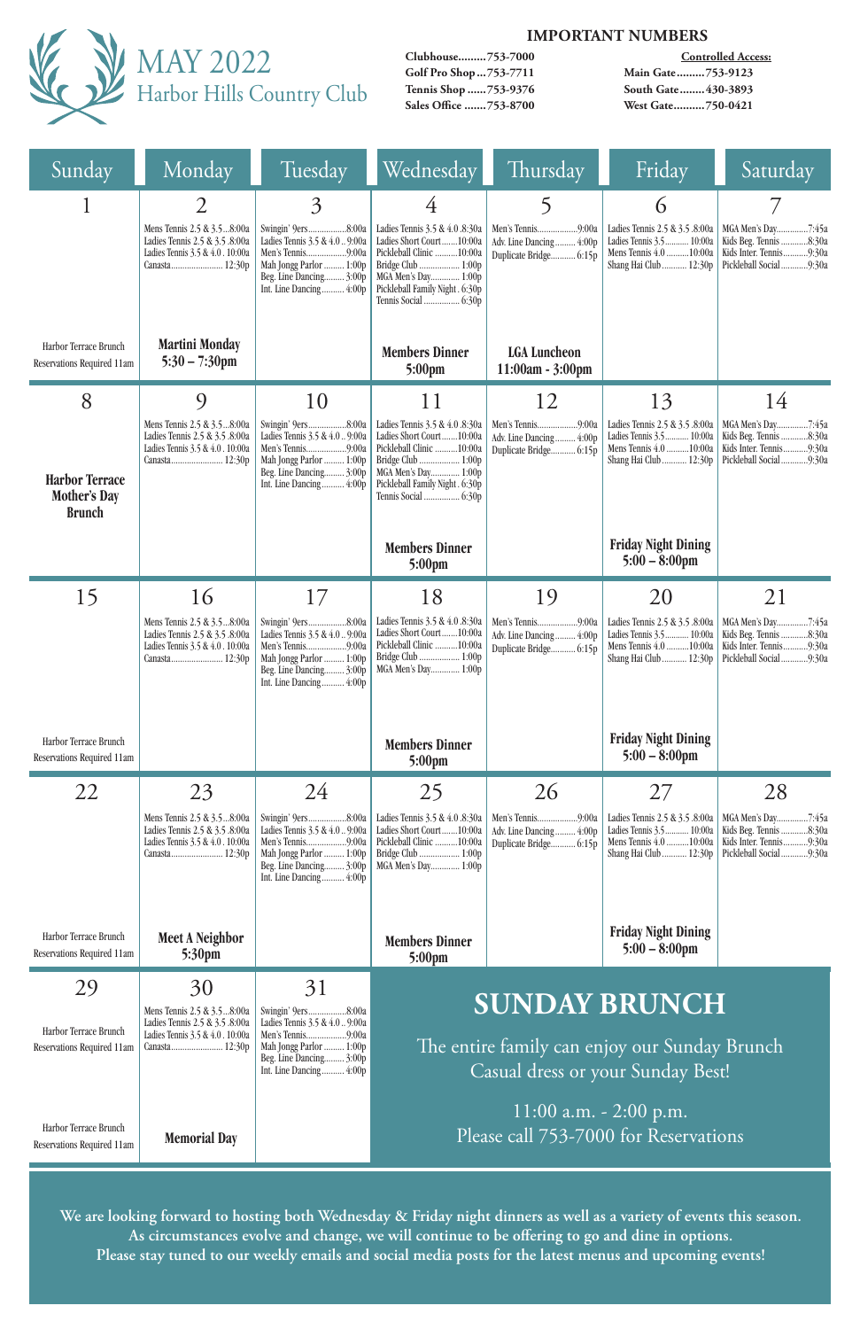

#### **IMPORTANT NUMBERS**

**Clubhouse.........753-7000 Golf Pro Shop...753-7711 Tennis Shop ......753-9376 Sales Office .......753-8700**

**Controlled Access: Main Gate.........753-9123 South Gate........430-3893 West Gate..........750-0421**

| Sunday                                                        | Monday                                                                                                | Tuesday                                                                                                                                                                                                                                                                                                                                | Wednesday                                                                                                                                                                                      | Thursday                                          | Friday                                                                                                                        | Saturday                                                                                          |  |
|---------------------------------------------------------------|-------------------------------------------------------------------------------------------------------|----------------------------------------------------------------------------------------------------------------------------------------------------------------------------------------------------------------------------------------------------------------------------------------------------------------------------------------|------------------------------------------------------------------------------------------------------------------------------------------------------------------------------------------------|---------------------------------------------------|-------------------------------------------------------------------------------------------------------------------------------|---------------------------------------------------------------------------------------------------|--|
|                                                               | Mens Tennis 2.5 & 3.58:00a<br>Ladies Tennis 2.5 & 3.5 .8:00a<br>Ladies Tennis 3.5 & 4.0 . 10:00a      | 3<br>Swingin' 9ers8:00a<br>Ladies Tennis 3.5 & 4.0  9:00a<br>Mah Jongg Parlor  1:00p<br>Beg. Line Dancing 3:00p<br>Int. Line Dancing 4:00p                                                                                                                                                                                             | Ladies Tennis 3.5 & 4.0 .8:30a<br>Ladies Short Court10:00a<br>Pickleball Clinic 10:00a<br>Bridge Club  1:00p<br>MGA Men's Day 1:00p<br>Pickleball Family Night . 6:30p<br>Tennis Social  6:30p | Adv. Line Dancing 4:00p<br>Duplicate Bridge 6:15p | $\mathbf 6$<br>Ladies Tennis 2.5 & 3.5 .8:00a<br>Ladies Tennis 3.5 10:00a<br>Mens Tennis 4.0 10:00a<br>Shang Hai Club  12:30p | MGA Men's Day7:45a<br>Kids Beg. Tennis 8:30a<br>Kids Inter. Tennis9:30a<br>Pickleball Social9:30a |  |
| Harbor Terrace Brunch<br>Reservations Required 11am           | <b>Martini Monday</b><br>$5:30 - 7:30$ pm                                                             |                                                                                                                                                                                                                                                                                                                                        | <b>Members Dinner</b><br>$5:00 \text{pm}$                                                                                                                                                      | <b>LGA Luncheon</b><br>$11:00am - 3:00pm$         |                                                                                                                               |                                                                                                   |  |
| 8                                                             | 9                                                                                                     | 10                                                                                                                                                                                                                                                                                                                                     | 11                                                                                                                                                                                             | 12                                                | 13                                                                                                                            | 14                                                                                                |  |
| <b>Harbor Terrace</b><br><b>Mother's Day</b><br><b>Brunch</b> | Mens Tennis 2.5 & 3.58:00a<br>Ladies Tennis 2.5 & 3.5 .8:00a<br>Ladies Tennis 3.5 & 4.0. 10:00a       | Swingin' 9ers8:00a<br>Ladies Tennis 3.5 & 4.0  9:00a<br>Mah Jongg Parlor  1:00p<br>Beg. Line Dancing 3:00p<br>Int. Line Dancing 4:00p                                                                                                                                                                                                  | Ladies Tennis 3.5 & 4.0 .8:30a<br>Ladies Short Court10:00a<br>Pickleball Clinic 10:00a<br>Bridge Club  1:00p<br>MGA Men's Day 1:00p<br>Pickleball Family Night . 6:30p                         | Adv. Line Dancing 4:00p<br>Duplicate Bridge 6:15p | Ladies Tennis 2.5 & 3.5 .8:00a<br>Ladies Tennis 3.5 10:00a<br>Mens Tennis 4.0 10:00a<br>Shang Hai Club  12:30p                | MGA Men's Day7:45a<br>Kids Beg. Tennis 8:30a<br>Kids Inter. Tennis9:30a<br>Pickleball Social9:30a |  |
|                                                               |                                                                                                       |                                                                                                                                                                                                                                                                                                                                        | <b>Members Dinner</b><br>$5:00 \text{pm}$                                                                                                                                                      |                                                   | <b>Friday Night Dining</b><br>$5:00 - 8:00$ pm                                                                                |                                                                                                   |  |
| 15                                                            | 16                                                                                                    | 17                                                                                                                                                                                                                                                                                                                                     | 18                                                                                                                                                                                             | 19                                                | 20                                                                                                                            | 21                                                                                                |  |
|                                                               | Ladies Tennis 3.5 & 4.0 . 10:00a                                                                      | Mens Tennis 2.5 & 3.58:00a   Swingin' 9ers8:00a  <br>Ladies Tennis 2.5 & 3.5 8:00a   Ladies Tennis 3.5 & 4.0  9:00a   Ladies Short Court  10:00a   Adv. Line Dancing  4:00p   Ladies Tennis 3.5  10:00a   Kids Beg. Tennis 8:30a<br>Men's Tennis9:00a<br>Mah Jongg Parlor  1:00p<br>Beg. Line Dancing 3:00p<br>Int. Line Dancing 4:00p | Pickleball Clinic  10:00a<br>Bridge Club  1:00p<br>MGA Men's Day 1:00p                                                                                                                         | Duplicate Bridge 6:15p                            | Mens Tennis 4.0 10:00a<br>Shang Hai Club  12:30p                                                                              | Kids Inter. Tennis9:30a<br>Pickleball Social9:30a                                                 |  |
| Harbor Terrace Brunch<br>Reservations Required 11am           |                                                                                                       |                                                                                                                                                                                                                                                                                                                                        | <b>Members Dinner</b><br>$5:00 \text{pm}$                                                                                                                                                      |                                                   | <b>Friday Night Dining</b><br>$5:00 - 8:00$ pm                                                                                |                                                                                                   |  |
| 22                                                            | 23                                                                                                    | 24                                                                                                                                                                                                                                                                                                                                     | 25                                                                                                                                                                                             | 26                                                | 27                                                                                                                            | 28                                                                                                |  |
|                                                               | Mens Tennis 2.5 & 3.58:00a<br>Ladies Tennis 2.5 & 3.5 .8:00a<br>Ladies Tennis 3.5 & 4.0 . 10:00a      | Swingin' 9ers8:00a<br>Ladies Tennis 3.5 & 4.0  9:00a<br>Men's Tennis9:00a<br>Mah Jongg Parlor  1:00p<br>Beg. Line Dancing 3:00p<br>Int. Line Dancing 4:00p                                                                                                                                                                             | Ladies Tennis 3.5 & 4.0 .8:30a<br>Ladies Short Court10:00a<br>Pickleball Clinic 10:00a<br>Bridge Club  1:00p<br>MGA Men's Day 1:00p                                                            | Adv. Line Dancing 4:00p<br>Duplicate Bridge 6:15p | Ladies Tennis 2.5 & 3.5 .8:00a<br>Ladies Tennis 3.5 10:00a<br>Mens Tennis 4.0 10:00a<br>Shang Hai Club  12:30p                | MGA Men's Day7:45a<br>Kids Beg. Tennis 8:30a<br>Kids Inter. Tennis9:30a<br>Pickleball Social9:30a |  |
| Harbor Terrace Brunch<br>Reservations Required 11am           | <b>Meet A Neighbor</b><br>$5:30 \text{pm}$                                                            |                                                                                                                                                                                                                                                                                                                                        | <b>Members Dinner</b><br>$5:00 \text{pm}$                                                                                                                                                      |                                                   | <b>Friday Night Dining</b><br>$5:00 - 8:00$ pm                                                                                |                                                                                                   |  |
| 29<br>Harbor Terrace Brunch<br>Reservations Required 11am     | 30<br>Mens Tennis 2.5 & 3.58:00a<br>Ladies Tennis 2.5 & 3.5 .8:00a<br>Ladies Tennis 3.5 & 4.0. 10:00a | 31<br>Swingin' 9ers8:00a<br>Ladies Tennis 3.5 & 4.0  9:00a<br>Men's Tennis9:00a<br>Mah Jongg Parlor  1:00p<br>Beg. Line Dancing 3:00p<br>Int. Line Dancing 4:00p                                                                                                                                                                       | <b>SUNDAY BRUNCH</b><br>The entire family can enjoy our Sunday Brunch<br>Casual dress or your Sunday Best!<br>11:00 a.m. $-$ 2:00 p.m.                                                         |                                                   |                                                                                                                               |                                                                                                   |  |
| Harbor Terrace Brunch<br>Reservations Required 11am           | <b>Memorial Day</b>                                                                                   |                                                                                                                                                                                                                                                                                                                                        | Please call 753-7000 for Reservations                                                                                                                                                          |                                                   |                                                                                                                               |                                                                                                   |  |

**We are looking forward to hosting both Wednesday & Friday night dinners as well as a variety of events this season. As circumstances evolve and change, we will continue to be offering to go and dine in options. Please stay tuned to our weekly emails and social media posts for the latest menus and upcoming events!**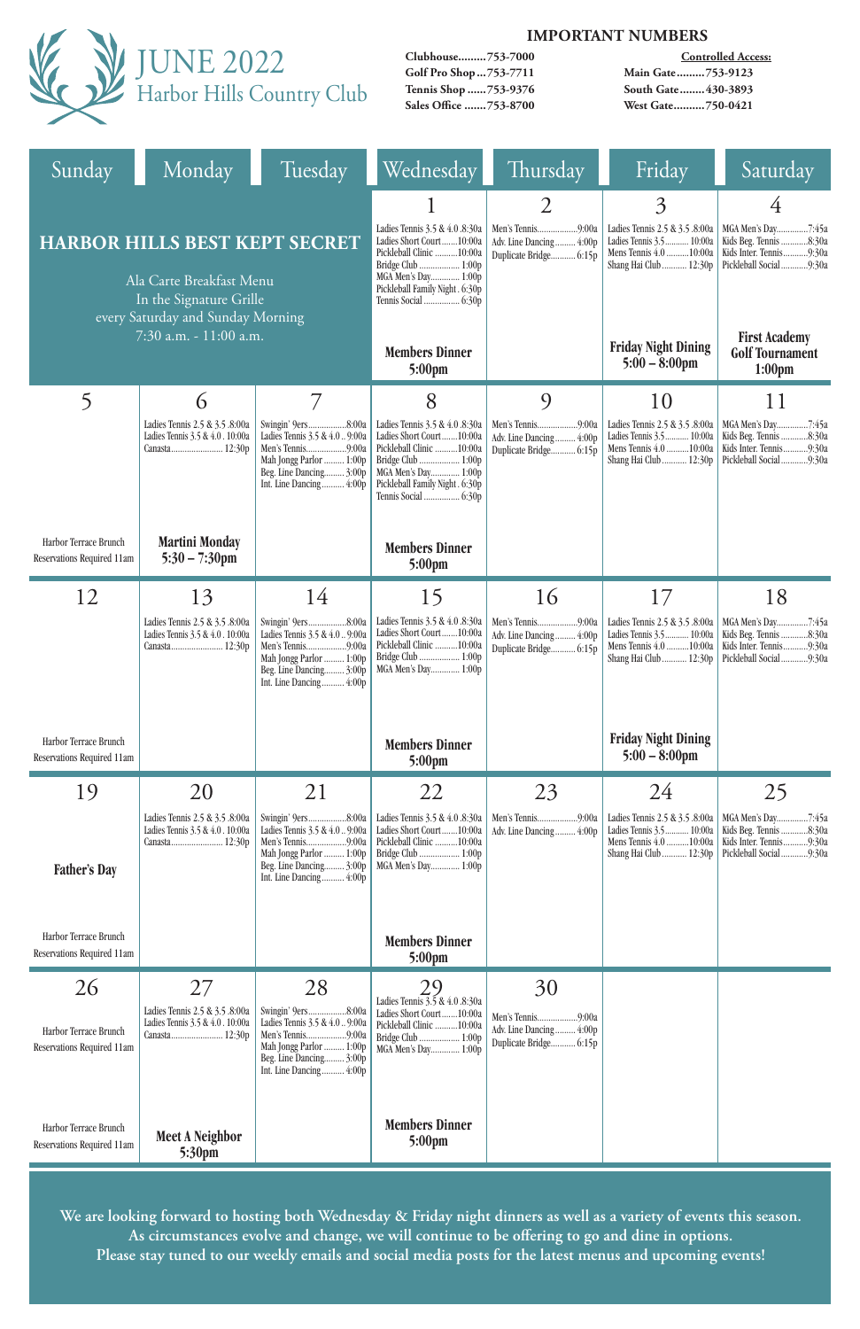

### **IMPORTANT NUMBERS**

**Clubhouse.........753-7000 Golf Pro Shop...753-7711 Tennis Shop ......753-9376 Sales Office .......753-8700**

**Controlled Access: Main Gate.........753-9123 South Gate........430-3893 West Gate..........750-0421**

| Sunday                                                                                                                           | Monday                                                            | Tuesday                                                                                                                                                                                                                                                                                                    | Wednesday                                                                                                                                                                                      | Thursday                                                               | Friday                                                                                                              | Saturday                                                                                               |
|----------------------------------------------------------------------------------------------------------------------------------|-------------------------------------------------------------------|------------------------------------------------------------------------------------------------------------------------------------------------------------------------------------------------------------------------------------------------------------------------------------------------------------|------------------------------------------------------------------------------------------------------------------------------------------------------------------------------------------------|------------------------------------------------------------------------|---------------------------------------------------------------------------------------------------------------------|--------------------------------------------------------------------------------------------------------|
| <b>HARBOR HILLS BEST KEPT SECRET</b><br>Ala Carte Breakfast Menu<br>In the Signature Grille<br>every Saturday and Sunday Morning |                                                                   |                                                                                                                                                                                                                                                                                                            | Ladies Tennis 3.5 & 4.0 .8:30a<br>Ladies Short Court10:00a<br>Pickleball Clinic 10:00a<br>Bridge Club  1:00p<br>MGA Men's Day 1:00p<br>Pickleball Family Night . 6:30p<br>Tennis Social  6:30p | 2<br>Adv. Line Dancing 4:00p<br>Duplicate Bridge 6:15p                 | 3<br>Ladies Tennis 2.5 & 3.5 .8:00a<br>Ladies Tennis 3.5 10:00a<br>Mens Tennis 4.0 10:00a<br>Shang Hai Club  12:30p | 4<br>MGA Men's Day7:45a<br>Kids Beg. Tennis 8:30a<br>Kids Inter. Tennis9:30a<br>Pickleball Social9:30a |
|                                                                                                                                  | 7:30 a.m. - 11:00 a.m.                                            |                                                                                                                                                                                                                                                                                                            | <b>Members Dinner</b><br>$5:00 \text{pm}$                                                                                                                                                      |                                                                        | <b>Friday Night Dining</b><br>$5:00 - 8:00$ pm                                                                      | <b>First Academy</b><br><b>Golf Tournament</b><br>1:00 <sub>pm</sub>                                   |
| 5                                                                                                                                | 6                                                                 | $\overline{7}$                                                                                                                                                                                                                                                                                             | 8                                                                                                                                                                                              | $\overline{Q}$                                                         | 10                                                                                                                  | 11                                                                                                     |
|                                                                                                                                  | Ladies Tennis 2.5 & 3.5 .8:00a<br>Ladies Tennis 3.5 & 4.0. 10:00a | Swingin' 9ers8:00a<br>Ladies Tennis 3.5 & 4.0  9:00a<br>Men's Tennis9:00a<br>Mah Jongg Parlor  1:00p<br>Beg. Line Dancing 3:00p<br>Int. Line Dancing 4:00p                                                                                                                                                 | Ladies Tennis 3.5 & 4.0 .8:30a<br>Ladies Short Court10:00a<br>Pickleball Clinic 10:00a<br>Bridge Club  1:00p<br>MGA Men's Day 1:00p<br>Pickleball Family Night . 6:30p<br>Tennis Social  6:30p | Men's Tennis9:00a<br>Adv. Line Dancing 4:00p<br>Duplicate Bridge 6:15p | Ladies Tennis 2.5 & 3.5 .8:00a<br>Ladies Tennis 3.5 10:00a<br>Mens Tennis 4.0 10:00a<br>Shang Hai Club  12:30p      | MGA Men's Day7:45a<br>Kids Beg. Tennis 8:30a<br>Kids Inter. Tennis9:30a<br>Pickleball Social9:30a      |
| Harbor Terrace Brunch<br>Reservations Required 11am                                                                              | <b>Martini Monday</b><br>$5:30 - 7:30$ pm                         |                                                                                                                                                                                                                                                                                                            | <b>Members Dinner</b><br>$5:00 \text{pm}$                                                                                                                                                      |                                                                        |                                                                                                                     |                                                                                                        |
| 12                                                                                                                               | 13                                                                | 14                                                                                                                                                                                                                                                                                                         | 15                                                                                                                                                                                             | 16                                                                     | 17                                                                                                                  | 18                                                                                                     |
|                                                                                                                                  | Ladies Tennis 2.5 & 3.5 .8:00a                                    | Swingin' 9ers8:00a<br>Ladies Tennis 3.5 & 4.0 . 10:00a   Ladies Tennis 3.5 & 4.0 . 9:00a   Ladies Short Court 10:00a   Adv. Line Dancing  4:00p   Ladies Tennis 3.5  10:00a   Kids Beg. Tennis 8:30a<br>Men's Tennis9:00a<br>Mah Jongg Parlor  1:00p<br>Beg. Line Dancing 3:00p<br>Int. Line Dancing 4:00p | Pickleball Clinic 10:00a<br>Bridge Club  1:00p<br>MGA Men's Day 1:00p                                                                                                                          | Duplicate Bridge 6:15p                                                 | Mens Tennis $4.0$ 10:00a<br>Shang Hai Club  12:30p                                                                  | Kids Inter. Tennis9:30a<br>Pickleball Social9:30a                                                      |
| Harbor Terrace Brunch<br>Reservations Required 11am                                                                              |                                                                   |                                                                                                                                                                                                                                                                                                            | <b>Members Dinner</b><br>$5:00 \text{pm}$                                                                                                                                                      |                                                                        | <b>Friday Night Dining</b><br>$5:00 - 8:00$ pm                                                                      |                                                                                                        |
| 19                                                                                                                               | 20                                                                | 21                                                                                                                                                                                                                                                                                                         | 22                                                                                                                                                                                             | 23                                                                     | 24                                                                                                                  | 25                                                                                                     |
| <b>Father's Day</b>                                                                                                              | Ladies Tennis 2.5 & 3.5 .8:00a<br>Ladies Tennis 3.5 & 4.0. 10:00a | Swingin' 9ers8:00a<br>Ladies Tennis 3.5 & 4.0  9:00a<br>Men's Tennis9:00a<br>Mah Jongg Parlor  1:00p<br>Beg. Line Dancing 3:00p<br>Int. Line Dancing 4:00p                                                                                                                                                 | Ladies Tennis 3.5 & 4.0 .8:30a<br>Ladies Short Court10:00a<br>Pickleball Clinic 10:00a<br>Bridge Club  1:00p<br>MGA Men's Day 1:00p                                                            | Men's Tennis9:00a<br>Adv. Line Dancing 4:00p                           | Ladies Tennis 2.5 & 3.5 .8:00a<br>Ladies Tennis 3.5 10:00a<br>Mens Tennis 4.0 10:00a<br>Shang Hai Club  12:30p      | Kids Beg. Tennis 8:30a<br>Kids Inter. Tennis9:30a<br>Pickleball Social 9:30a                           |
| Harbor Terrace Brunch<br>Reservations Required 11am                                                                              |                                                                   |                                                                                                                                                                                                                                                                                                            | <b>Members Dinner</b><br>$5:00 \text{pm}$                                                                                                                                                      |                                                                        |                                                                                                                     |                                                                                                        |
| 26                                                                                                                               | 27                                                                | 28                                                                                                                                                                                                                                                                                                         | 29<br>Ladies Tennis 3.5 & 4.0 .8:30a                                                                                                                                                           | 30                                                                     |                                                                                                                     |                                                                                                        |
| Harbor Terrace Brunch<br>Reservations Required 11am                                                                              | Ladies Tennis 2.5 & 3.5 .8:00a<br>Ladies Tennis 3.5 & 4.0. 10:00a | Swingin' 9ers8:00a<br>Ladies Tennis 3.5 & 4.0  9:00a<br>Men's Tennis9:00a<br>Mah Jongg Parlor  1:00p<br>Beg. Line Dancing 3:00p<br>Int. Line Dancing 4:00p                                                                                                                                                 | Ladies Short Court10:00a<br>Pickleball Clinic  10:00a<br>Bridge Club  1:00p<br>MGA Men's Day 1:00p                                                                                             | Men's Tennis9:00a<br>Adv. Line Dancing 4:00p<br>Duplicate Bridge 6:15p |                                                                                                                     |                                                                                                        |
| Harbor Terrace Brunch<br>Reservations Required 11am                                                                              | <b>Meet A Neighbor</b><br>5:30pm                                  |                                                                                                                                                                                                                                                                                                            | <b>Members Dinner</b><br>$5:00 \text{pm}$                                                                                                                                                      |                                                                        |                                                                                                                     |                                                                                                        |

**We are looking forward to hosting both Wednesday & Friday night dinners as well as a variety of events this season. As circumstances evolve and change, we will continue to be offering to go and dine in options. Please stay tuned to our weekly emails and social media posts for the latest menus and upcoming events!**